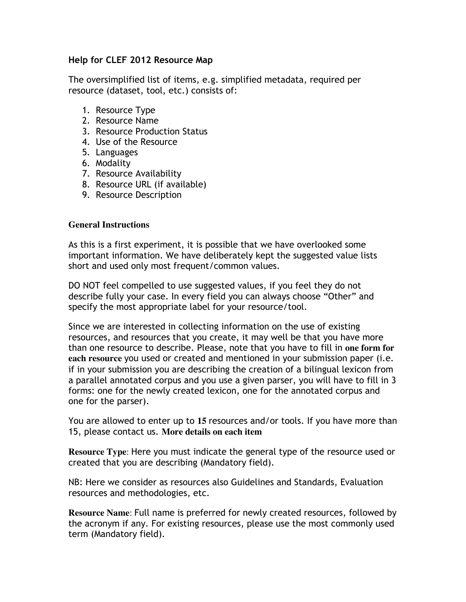## **Help for CLEF 2012 Resource Map**

The oversimplified list of items, e.g. simplified metadata, required per resource (dataset, tool, etc.) consists of:

- 1. Resource Type
- 2. Resource Name
- 3. Resource Production Status
- 4. Use of the Resource
- 5. Languages
- 6. Modality
- 7. Resource Availability
- 8. Resource URL (if available)
- 9. Resource Description

## **General Instructions**

As this is a first experiment, it is possible that we have overlooked some important information. We have deliberately kept the suggested value lists short and used only most frequent/common values.

DO NOT feel compelled to use suggested values, if you feel they do not describe fully your case. In every field you can always choose "Other" and specify the most appropriate label for your resource/tool.

Since we are interested in collecting information on the use of existing resources, and resources that you create, it may well be that you have more than one resource to describe. Please, note that you have to fill in **one form for each resource** you used or created and mentioned in your submission paper (i.e. if in your submission you are describing the creation of a bilingual lexicon from a parallel annotated corpus and you use a given parser, you will have to fill in 3 forms: one for the newly created lexicon, one for the annotated corpus and one for the parser).

You are allowed to enter up to **15** resources and/or tools. If you have more than 15, please contact us. **More details on each item**

**Resource Type**: Here you must indicate the general type of the resource used or created that you are describing (Mandatory field).

NB: Here we consider as resources also Guidelines and Standards, Evaluation resources and methodologies, etc.

**Resource Name**: Full name is preferred for newly created resources, followed by the acronym if any. For existing resources, please use the most commonly used term (Mandatory field).